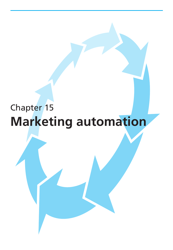# **Marketing automation**  Chapter 15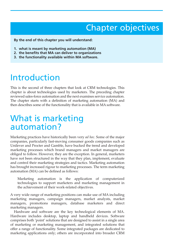## Chapter objectives

 **By the end of this chapter you will understand:** 

- **1. what is meant by marketing automation (MA)**
- **2. the benefits that MA can deliver to organizations**
- **3. the functionality available within MA software.**

## Introduction

 This is the second of three chapters that look at CRM technologies. This chapter is about technologies used by marketers. The preceding chapter reviewed sales-force automation and the next examines service automation. The chapter starts with a definition of marketing automation (MA) and then describes some of the functionality that is available in MA software.

## What is marketing automation?

Marketing practices have historically been very *ad hoc*. Some of the major companies, particularly fast-moving consumer goods companies such as Unilever and Procter and Gamble, have bucked the trend and developed marketing processes which brand managers and market managers are obliged to follow. However, they are the exception. In general, marketers have not been structured in the way that they plan, implement, evaluate and control their marketing strategies and tactics. Marketing automation has brought increased rigour to marketing processes. The term marketing automation (MA) can be defined as follows:

Marketing automation is the application of computerized technologies to support marketers and marketing management in the achievement of their work-related objectives.

 A very wide range of marketing positions can make use of MA including marketing managers, campaign managers, market analysts, market managers, promotions managers, database marketers and direct marketing managers.

Hardware and software are the key technological elements of MA. Hardware includes desktop, laptop and handheld devices. Software comprises both 'point' solutions that are designed to assist in a single area of marketing or marketing management, and integrated solutions that offer a range of functionality. Some integrated packages are dedicated to marketing applications only; others are incorporated into broader CRM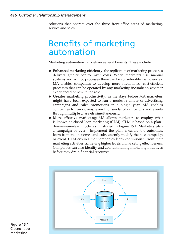solutions that operate over the three front-office areas of marketing, service and sales.

## **Benefits of marketing** automation

Marketing automation can deliver several benefits. These include:

- **Enhanced marketing efficiency**: the replication of marketing processes delivers greater control over costs. When marketers use manual systems and ad hoc processes there can be considerable inefficiencies. MA enables companies to develop more streamlined, cost-efficient processes that can be operated by any marketing incumbent, whether experienced or new to the role.
- **Greater marketing productivity**: in the days before MA marketers might have been expected to run a modest number of advertising campaigns and sales promotions in a single year. MA enables companies to run dozens, even thousands, of campaigns and events through multiple channels simultaneously.
- **More effective marketing**: MA allows marketers to employ what is known as closed-loop marketing (CLM). CLM is based on a plan– do–measure–learn cycle, as illustrated in Figure 15.1 . Marketers plan a campaign or event, implement the plan, measure the outcomes, learn from the outcomes and subsequently modify the next campaign or event. CLM ensures that companies learn continuously from their marketing activities, achieving higher levels of marketing effectiveness. Companies can also identify and abandon failing marketing initiatives before they drain financial resources.



 **Figure 15.1**  Closed-loop marketing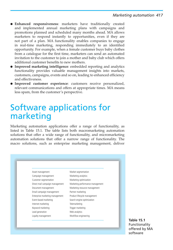- **Enhanced responsiveness**: marketers have traditionally created and implemented annual marketing plans with campaigns and promotions planned and scheduled many months ahead. MA allows marketers to respond instantly to opportunities, even if they are not part of a plan. MA functionality enables companies to engage in real-time marketing, responding immediately to an identified opportunity. For example, when a female customer buys baby clothes from a catalogue for the first time, marketers can send an automated invitation to the customer to join a mother and baby club which offers additional customer benefits to new mothers.
- **Improved marketing intelligence**: embedded reporting and analytics functionality provides valuable management insights into markets, customers, campaigns, events and so on, leading to enhanced efficiency and effectiveness.
- **Improved customer experience**: customers receive personalized, relevant communications and offers at appropriate times. MA means less spam, from the customer's perspective.

## Software applications for marketing

Marketing automation applications offer a range of functionality, as listed in Table 15.1 . The table lists both macromarketing automation solutions that offer a wide range of functionality, and micromarketing automation solutions that offer a narrow range of functionality. The macro solutions, such as enterprise marketing management, deliver

> Asset management Market segmentation Campaign management Marketing analytics Customer segmentation Marketing optimization Document management Marketing resource management Email campaign management Partner marketing Enterprise marketing management Product lifecycle management Event-based marketing Search engine optimization Internet marketing Telemarketing Keyword marketing Trigger marketing Lead generation Web analytics Loyalty management Workflow engineering

Direct mail campaign management Marketing performance management

**Table 15.1**  Functionality offered by MA software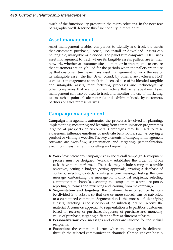much of the functionality present in the micro solutions. In the next few paragraphs, we'll describe this functionality in more detail.

#### **Asset management**

Asset management enables companies to identify and track the assets that customers purchase, license, use, install or download. Assets can be tangible, intangible or blended. The pallet hire company, CHEP, uses asset management to track where its tangible assets, pallets, are in their network, whether at customer sites, depots or in transit, and to ensure that customers are only billed for the periods when the pallets are in use by that customer. Jim Beam uses asset management to track the use of its intangible asset, the Jim Beam brand, by other manufacturers. NXT uses asset management to track the licensed use of its blended tangible and intangible assets, manufacturing processes and technology, by other companies that want to manufacture flat panel speakers. Asset management can also be used to track and monitor the use of marketing assets such as point-of-sale materials and exhibition kiosks by customers, partners or sales representatives.

#### **Campaign management**

 Campaign management automates the processes involved in planning, implementing, measuring and learning from communication programmes targeted at prospects or customers. Campaigns may be used to raise awareness, influence emotions or motivate behaviours, such as buying a product or visiting a website. The key elements of campaign management software are workflow, segmentation and targeting, personalization, execution, measurement, modelling and reporting.

- **Workflow**: before any campaign is run, the overall campaign development process must be designed. Workflow establishes the order in which tasks have to be performed. The tasks may include setting measurable objectives, setting a budget, getting approvals, creating a database of contacts, selecting contacts, creating a core message, testing the core message, customizing the message for individual recipients, selecting communication channels, executing the campaign, measuring response, reporting outcomes and reviewing and learning from the campaign.
- **Segmentation and targeting**: the customer base or source list can be divided into subsets so that one or more subsets can be subjected to a customized campaign. Segmentation is the process of identifying subsets; targeting is the selection of the subset(s) that will receive the material. A common approach to segmentation is to partition customers based on recency of purchase, frequency of purchase and monetary value of purchase, targeting different offers at different subsets.
- **Personalization**: core messages and offers are tailored for individual recipients.
- **Execution**: the campaign is run when the message is delivered through the selected communication channels. Campaigns can be run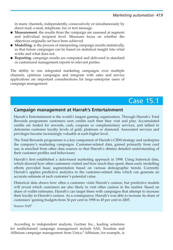in many channels, independently, consecutively or simultaneously by direct mail, e-mail, telephone, fax or text message.

- **Measurement**: the results from the campaign are assessed at segment and individual recipient level. Measures focus on whether the objectives originally set have been achieved.
- **Modelling** : is the process of interpreting campaign results statistically, so that future campaigns can be based on statistical insight into what works and what does not.
- **Reporting** : campaign results are computed and delivered in standard or customized management reports to relevant parties.

The ability to run integrated marketing campaigns over multiple channels, optimize campaigns and integrate with sales and service applications are important considerations for large-enterprise users of campaign management.

## Case 15.1

#### **Campaign management at Harrah's Entertainment**

Harrah's Entertainment is the world's largest gaming organization. Through Harrah's Total Rewards programme customers earn credits each time they visit and play. Accumulated credits are traded for rewards, cash, coupons or complementary services, and tallied to determine customer loyalty levels of gold, platinum or diamond. Associated services and privileges become increasingly valuable at each higher level.

 The Total Rewards programme is a key component of Harrah's CRM strategy and underpins the company's marketing campaigns. Customer-related data, gained primarily from card use, is enriched from other data sources so that Harrah's obtains detailed understanding of their customer profiles and behaviours.

Harrah's first established a data-based marketing approach in 1998. Using historical data, which showed how often customers visited and how much they spent, these early modelling efforts provided basic segmentation based on various demographic trends. Currently Harrah's applies predictive analytics to the customer-related data which can generate an accurate estimate of each customer's potential value.

 Historical data shows how often a customer visits Harrah's casinos, but predictive models will reveal which customers are also likely to visit other casinos in the market. Based on share of wallet estimates, Harrah's can target them with campaigns that attempt to increase their loyalty to Harrah's casinos. As a consequence, Harrah's was able to increase its share of customers' gaming budgets from 36 per cent in 1998 to 45 per cent in 2005.

 $Source: SAS<sup>1</sup>$ 

According to independent analysts, Gartner Inc., leading solutions for multichannel campaign management include SAS, Teradata and Affinium campaign management from Unica.<sup>2</sup> Affinium, for example, is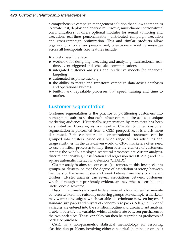a comprehensive campaign management solution that allows companies to create, test, deploy and analyse multiwave, multichannel personalized communications. It offers optional modules for e-mail authoring and execution, real-time personalization, distributed campaign execution and cross-campaign optimization. This and similar products allow organizations to deliver personalized, one-to-one marketing messages across all touchpoints. Key features include:

- a web-based interface
- workflow for designing, executing and analysing, transactional, realtime, event-triggered and scheduled communications
- integrated customer analytics and predictive models for enhanced targeting
- automated response tracking
- the ability to merge and transform campaign data across databases and operational systems
- built-in and repeatable processes that speed training and time to market.

#### **Customer segmentation**

 Customer segmentation is the practice of partitioning customers into homogenous subsets so that each subset can be addressed as a unique marketing audience. Historically, segmentation by marketers has been very intuitive. However, as you read in Chapter 5, when customer segmentation is performed from a CRM perspective, it is much more data-based. Both consumers and organizational customers can be grouped into clusters, based on a wide range of user attributes and usage attributes. In the data-driven world of CRM, marketers often need to use statistical processes to help them identify clusters of customers. Among the widely employed statistical processes are cluster analysis, discriminant analysis, classification and regression trees (CART) and chisquare automatic interaction detection (CHAID).<sup>3</sup>

Cluster analysis aims to sort cases (customers, in this instance) into groups, or clusters, so that the degree of association is strong between members of the same cluster and weak between members of different clusters. Cluster analysis can reveal associations between customers which, although not previously evident, are nevertheless sensible and useful once discovered.

Discriminant analysis is used to determine which variables discriminate between two or more naturally occurring groups. For example, a marketer may want to investigate which variables discriminate between buyers of standard size packs and buyers of economy size packs. A large number of variables are entered into the statistical routine and discriminant analysis is able to identify the variables which discriminate between purchasers of the two pack sizes. Those variables can then be regarded as predictors of pack size purchase.

 CART is a non-parametric statistical methodology for resolving classification problems involving either categorical (nominal or ordinal)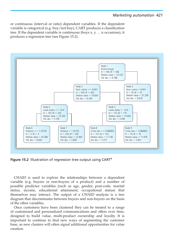#### *Marketing automation 421*

or continuous (interval or ratio) dependent variables. If the dependent variable is categorical (e.g. buy/not buy), CART produces a classification tree. If the dependent variable is continuous (buys x, y … n occasions), it produces a regression tree (see Figure 15.2 ).



**Figure 15.2 Illustration of regression tree output using CART<sup>4</sup>** 

CHAID is used to explore the relationships between a dependent variable (e.g. buyers or non-buyers of a product) and a number of possible predictor variables (such as age, gender, post-code, marital status, income, educational attainment, occupational status) that themselves may interact. The output of a CHAID analysis is a tree diagram that discriminates between buyers and non-buyers on the basis of the other variables.

 Once customers have been clustered they can be treated to a range of customized and personalized communications and offers over time, designed to build value, multi-product ownership and loyalty. It is important to continue to find new ways of segmenting the customer base, as new clusters will often signal additional opportunities for value creation.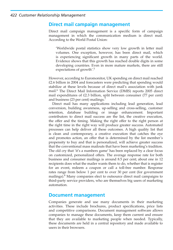### **Direct mail campaign management**

Direct mail campaign management is a specific form of campaign management in which the communication medium is direct mail. According to the World Postal Union:

 ' Worldwide postal statistics show very low growth in letter mail volumes. One exception, however, has been direct mail, which is experiencing significant growth in many parts of the world. Evidence shows that this growth has reached double digits in some developing countries. Even in more mature markets, there are still expectations of growth'. $5$ 

However, according to Euromonitor, UK spending on direct mail reached £2.6 billion in 2004 and forecasters were predicting that spending would stabilize at these levels because of direct mail's association with junk mail.<sup>6</sup> The Direct Mail Information Service (DMIS) reports 2005 direct mail expenditures of £2.3 billion, split between consumer (77 per cent) and business (23 per cent) mailings.

Direct mail has many applications including lead generation, lead conversion, building awareness, up-selling and cross-selling, customer retention, database building or image enhancement. Important contributors to direct mail success are the list, the creative execution, the offer and the timing. Making the right offer to the right person at the right time in the right way will produce greater success. Automated processes can help deliver all these outcomes. A high quality list that is clean and contemporary, a creative execution that catches the eye and promotes action, an offer that is determined by the list member's propensity to buy and that is personalized, will achieve greater success that the conventional mass mailouts that have been marketing's tradition. The old cry that 'it's a numbers game' has been replaced by a clear focus on customized, personalized offers. The average response rate for both business and consumer mailings is around 8.5 per cent; about one in 12 recipients does what the mailer wants them to do, whether that is register for an event, redeem a coupon or call a toll-free number. Response rates range from below 1 per cent to over 30 per cent (for government mailings).8 Many companies elect to outsource direct mail campaigns to third-party service providers, who are themselves big users of marketing automation.

#### **Document management**

 Companies generate and use many documents in their marketing activities. These include brochures, product specifications, price lists and competitive comparisons. Document management software allows companies to manage these documents, keep them current and ensure that they are available to marketing people when needed. Typically, these documents are held in a central repository and made available to users in their browsers.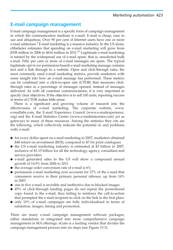## **E-mail campaign management**

E-mail campaign management is a specific form of campaign management in which the communication medium is e-mail. E-mail is cheap, easy to use and ubiquitous. Over 90 per cent of Internet users have one or more e-mail addresses.<sup>9</sup> E-mail marketing is a massive industry. In the US alone, eMarketer estimates that spending on e-mail marketing will grow from \$338 million in 2006 to \$616 million in 2011.<sup>10</sup> Legitimate e-mail marketing is tainted by the widespread use of e-mail spam, that is, unsolicited bulk e-mail. Fifty per cent or more of e-mail messages are spam. The typical legitimate opt-in (or permission-based) e-mail marketing message contains text and a link through to a website. Open and click-through rates, the most commonly used e-mail marketing metrics, provide marketers with some insight into how an e-mail message has performed. These metrics can be combined into a click-to-open rate (CTOR) that measures clickthrough rates as a percentage of messages opened, instead of messages delivered. As with all customer communications, it is very important to specify clear objectives. If the objective is to sell 100 units, reporting success in terms of CTOR makes little sense.

There is a significant and growing volume of research into the effectiveness of e-mail marketing. The corporate website, www. e-maillabs.com, the E-mail Experience Council (www.e-mailexperience. org) and the E-mail Statistics Center (www.e-mailstatcenter.com) act as gateways to many of these resources. Among the statistics they cite are the following, which collectively indicate the potential of, and problems with, e-mail:

- for every dollar spent on e-mail marketing in 2007, marketers obtained \$48 return on investment (ROI), compared to \$7 for print catalogues
- the US e-mail marketing industry is estimated at \$3 billion in 2007, inclusive of \$1.15 billion for all the technology, agency, consultant and service providers
- e-mail generated sales in the US will show a compound annual growth of 14.9% from 2006 to 2011
- $\bullet$  the average order conversion rate of e-mail is  $6\%$
- permission e-mail marketing now accounts for 27% of the e-mail that consumers receive in their primary personal inboxes, up from 16% in 2003
- one in five e-mail is invisible and ineffective due to blocked images
- 45% of click-through landing pages do not repeat the promotional copy found in the e-mail, thus failing to reinforce the call-to-action that prompted the e-mail recipient to click on the link in the first place
- only 10% of e-mail campaigns are fully individualized in terms of salutation, images, timing and promotion.

 There are many e-mail campaign management software packages, either standalone or integrated into more comprehensive campaign management or MA offerings. eGain is a leading vendor that divides the campaign management process into six steps (see Figure 15.3 ).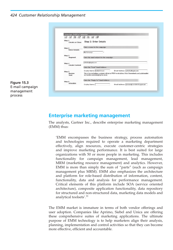| Campaign: Build a Campaign      |                                                                                                                                                      |
|---------------------------------|------------------------------------------------------------------------------------------------------------------------------------------------------|
| 儒                               | 可高度建立可申                                                                                                                                              |
| Step 1<br>Create or Clone       | Step 2: Enter Details                                                                                                                                |
| Step 2                          | Enter a name for the campaign:                                                                                                                       |
| <b>Enter Details</b>            | My Campaign                                                                                                                                          |
| Step 3<br>Segment               | Enter the email subject for the campaign:                                                                                                            |
| Step 4<br><b>Create Content</b> | ashisha@egain.com                                                                                                                                    |
|                                 | Enter the "From" Email Address:                                                                                                                      |
| Step 5                          | Display Name: Ashish Anand<br>Ernail Address: ashisha@egain.com                                                                                      |
| Review<br>Test                  | This is the email address customers will see as FROM email address. Note: Bouncebacks and undeliverables<br>are handled automatically by the server. |
| Step 6<br>Schedule              | Enter the "Reply-To" Email Address:                                                                                                                  |
|                                 | Display Name:<br>Email Address: parveen@cam00015.eqain.net                                                                                           |



### **Enterprise marketing management**

The analysts, Gartner Inc., describe enterprise marketing management (EMM) thus:

 ' EMM encompasses the business strategy, process automation and technologies required to operate a marketing department effectively, align resources, execute customer-centric strategies and improve marketing performance. It is best suited for large organizations with 50 or more people in marketing. This includes functionality for campaign management, lead management, MRM (marketing resource management) and analytics. However, EMM is more than simply the sum of "parts" (such as campaign management plus MRM). EMM also emphasizes the architecture and platform for role-based distribution of information, content, functionality, data and analysis for performance management. Critical elements of this platform include SOA (service oriented architecture), composite application functionality, data repository for structured and non-structured data, marketing data models and analytical toolsets'.<sup>11</sup>

 The EMM market is immature in terms of both vendor offerings and user adoption. Companies like Aprimo, Siebel and Unica are offering these comprehensive suites of marketing applications. The ultimate purpose of EMM technology is to help marketers align their analysis, planning, implementation and control activities so that they can become more effective, efficient and accountable.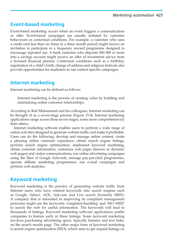## **Event-based marketing**

 Event-based marketing occurs when an event triggers a communication or offer. Event-based campaigns are usually initiated by customer behaviours or contextual conditions. For example, a customer who uses a credit card less than six times in a three month period might receive an invitation to participate in a frequency reward programme designed to encourage repeated use. A bank customer who deposits \$50 000 or more into a savings account might receive an offer of investment advice from a licensed financial planner. Contextual conditions such as a birthday, registration of a child's birth, change of address and religious festivals also provide opportunities for marketers to run context-specific campaigns.

### **Internet marketing**

Internet marketing can be defined as follows:

 Internet marketing is the process of creating value by building and maintaining online customer relationships.

 According to Rafi Mohammed and his colleagues, Internet marketing can be thought of as a seven-stage process (Figure 15.4). Internet marketing applications range across these seven stages, some more comprehensively than others.

Internet marketing software enables users to perform a wide range of online activities designed to generate website traffic and make it profitable. Users can do the following: develop and manage online content, create a pleasing online customer experience, obtain search engine listings, perform search engine optimization, implement keyword marketing, obtain customer information, customize web pages (known as dynamic web pages) and visitor communications, run online advertising campaigns using the likes of Google Adwords, manage pay-per-click programmes, operate affiliate marketing programmes, run e-mail campaigns and perform web analytics.

## **Keyword marketing**

Keyword marketing is the practice of generating website traffic from Internet users who have entered keywords into search engines such as Google, Yahoo!, AOL, Ask.com and Live search (formerly MSN). A company that is interested in improving its complaint management processes might use the keywords ' complaint-handling ' and ' ISO 10002 ' to search the web for useful information. The keywords will lead to thousands of listings. Keyword marketing software applications enable companies to feature early in these listings. Some keyword marketing involves purchasing advertising space, typically banners and text links, on the search results page. The other major form of keyword marketing is search engine optimization (SEO), which aims to get unpaid listings on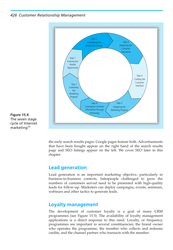



the early search results pages. Google pages feature both. Advertisements that have been bought appear on the right hand of the search results page and SEO listings appear on the left. We cover SEO later in this chapter.

#### **Lead generation**

Lead generation is an important marketing objective, particularly in business-to-business contexts. Salespeople challenged to grow the numbers of customers served need to be presented with high-quality leads for follow-up. Marketers can deploy campaigns, events, seminars, webinars and other tactics to generate leads.

## **Loyalty management**

 The development of customer loyalty is a goal of many CRM programmes (see Figure 15.5). The availability of loyalty management applications is a direct response to this need. Loyalty, or frequency, programmes are important to several constituencies; the brand owner who operates the programme, the member who collects and redeems credits, and the channel partner who transacts with the member.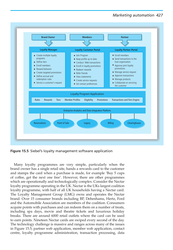#### *Marketing automation 427*



 **Figure 15.5** Siebel's loyalty management software application

Many loyalty programmes are very simple, particularly when the brand owner has a single retail site, hands a rewards card to the customer and stamps the card when a purchase is made, for example 'Buy 5 cups of coffee, get the next one free'. However, there are other programmes which are operationally and technologically complex. Consider the Nectar loyalty programme operating in the UK. Nectar is the UKs largest coalition loyalty programme, with half of all UK households having a Nectar card. The Loyalty Management Group (LMG) owns and operates the Nectar brand. Over 15 consumer brands including BP, Debenhams, Hertz, Ford and the Automobile Association are members of the coalition. Consumers acquire points with purchases and can redeem them on a number of treats, including spa days, movie and theatre tickets and luxurious holiday breaks. There are around 6000 retail outlets where the card can be used to earn points. Nineteen Nectar cards are swiped every second of the day. The technology challenge is massive and ranges across many of the issues in Figure 15.5 ; partner web application, member web application, contact centre, loyalty programme administration, transaction processing, data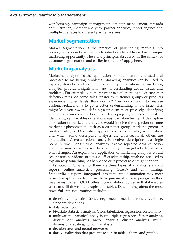warehousing, campaign management, account management, rewards administration, member analytics, partner analytics, report engines and multiple interfaces to different partner systems.

#### **Market segmentation**

Market segmentation is the practice of partitioning markets into homogenous subsets, so that each subset can be addressed as a unique marketing opportunity. The same principles discussed in the context of customer segmentation and earlier in Chapter 5 apply here.

## **Marketing analytics**

 Marketing analytics is the application of mathematical and statistical processes to marketing problems. Marketing analytics can be used to explore, describe and explain. Exploratory applications of marketing analytics provide insights into, and understanding about, issues and problems. For example, you might want to explore the issue of customer defection rates: do some sales territories, customer groups or products experience higher levels than normal? You would want to analyse customer-related data to get a better understanding of the issue. This might lead you towards defining a problem more precisely, identifying alternative courses of action and developing hypotheses to test or identifying key variables or relationships to explore further. A descriptive application of marketing analytics would involve the depiction of some marketing phenomenon, such as a customer group, market segment or product category. Descriptive applications focus on who, what, where and when. Some descriptive analyses are cross-sectional, others are longitudinal. A cross-sectional analysis involves description at a single point in time. Longitudinal analyses involve repeated data collection about the same variables over time, so that you can get a better sense of what changes. An explanatory application of marketing analytics would seek to obtain evidence of a cause–effect relationship. Analytics are used to explain why something has happened or to predict what might happen.

As noted in Chapter 13, there are three types of analytics: standard reports, online analytical processing (OLAP) and data mining. Standardized reports integrated into marketing automation may meet basic descriptive needs, but as the requirement for analysis grows they may be insufficient. OLAP offers more analytical power, in that it enables users to drill down into graphs and tables. Data mining offers the most powerful statistical routines including:

- descriptive statistics (frequency, mean, median, mode, variance, standard deviation)
- data reduction
- bivariate statistical analysis (cross-tabulation, regression, correlation)
- multivariate statistical analysis (multiple regression, factor analysis, discriminant analysis, factor analysis, cluster analysis, multidimensional scaling, conjoint analysis)
- decision trees and neural networks
- data visualization that presents results in tables, charts and graphs.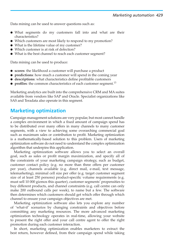Data mining can be used to answer questions such as:

- What segments do my customers fall into and what are their characteristics?
- Which customers are most likely to respond to my promotion?
- What is the lifetime value of my customer?
- Which customer is at risk of defection?
- What is the best channel to reach each customer segment?

Data mining can be used to produce:

- **scores** : the likelihood a customer will purchase a product
- **predictions** : how much a customer will spend in the coming year
- $\bullet$  descriptions: what characteristics define profitable customers
- **profiles**: the common characteristics of each customer segment.<sup>13</sup>

 Marketing analytics are built into the comprehensive CRM and MA suites available from vendors like SAP and Oracle. Specialist organizations like SAS and Teradata also operate in this segment.

## **Marketing optimization**

 Campaign management solutions are very popular, but most cannot handle a complex environment in which a fixed amount of campaign spend has to be distributed over many offers in many channels to many customer segments, with a view to achieving some overarching commercial goal such as maximum sales or contribution to profit. Marketing optimization is a mathematically-based solution to this problem. Users of marketing optimization software do not need to understand the complex optimization algorithm that underpins this application.

 Marketing optimization software allows you to select an overall goal, such as sales or profit margin maximization, and specify all of the constraints of your marketing campaign strategy, such as budget, customer contact policy (e.g. no more than three offers per customer per year), channels available (e.g. direct mail, e-mail, text message, telemarketing), minimal cell size per offer (e.g. target customer segment size of at least 250 persons) product-specific volume requirements (e.g. must sell 10 000 gizmos this quarter), customer segments' propensities to buy different products, and channel constraints (e.g. call centre can only make 200 outbound calls per week), to name but a few. The software then determines which customers should get which offer through which channel to ensure your campaign objectives are met.

 Marketing optimization software also lets you explore any number of 'what-if' scenarios by changing constraints and objectives before committing any marketing resources. The more advanced marketing optimization technology operates in real-time, allowing your website to present the right offer and your call centre agent to offer the right promotion during each customer interaction.

In short, marketing optimization enables marketers to extract the best return, however defined, from their campaign spend while taking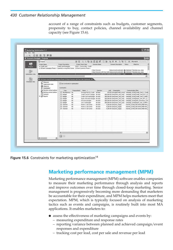account of a range of constraints such as budgets, customer segments, propensity to buy, contact policies, channel availability and channel capacity (see Figure 15.6).



 **Figure 15.6** Constraints for marketing optimization 14

## **Marketing performance management (MPM)**

 Marketing performance management (MPM) software enables companies to measure their marketing performance through analysis and reports and improve outcomes over time through closed-loop marketing. Senior management is progressively becoming more demanding that marketers be accountable for their expenditure, and MPM helps marketers meet that expectation. MPM, which is typically focused on analysis of marketing tactics such as events and campaigns, is routinely built into most MA applications. It enables marketers to:

- assess the effectiveness of marketing campaigns and events by:
	- measuring expenditure and response rates
	- reporting variance between planned and achieved campaign/event responses and expenditure
	- tracking cost per lead, cost per sale and revenue per lead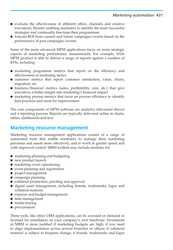#### *Marketing automation 431*

- evaluate the effectiveness of different offers, channels and creative executions, thereby enabling marketers to identify the most successful strategies and continually fine-tune their programmes
- forecast ROI from current and future campaigns/events based on the performance of past campaigns/events.

 Some of the more advanced MPM applications focus on more strategic aspects of marketing performance measurement. For example, SASs MPM product is able to deliver a range of reports against a number of KPIs, including:

- marketing programme metrics that report on the efficiency and effectiveness of marketing tactics
- customer metrics that report customer satisfaction, value, churn, migration, etc.
- $\bullet$  business/financial metrics (sales, profitability, cost, etc.) that give executives a better insight into marketing's financial impact
- marketing process metrics that focus on process efficiency to identify best practices and areas for improvement.

The core components of MPM software are analytics (discussed above) and a reporting process. Reports are typically delivered online in charts, tables, dashboards and text.

## **Marketing resource management**

 Marketing resource management applications consist of a range of automated tools that enable marketers to manage their marketing processes and assets more effectively, and to work at greater speed and with improved control. MRM toolkits may include modules for:

- marketing planning and budgeting
- new product launch
- marketing event calendaring
- event planning and registration
- project management
- campaign planning
- collateral production, proofing and approval
- digital asset management, including brands, trademarks, logos and collateral material
- expense and budget management
- time management
- media buying
- procurement.

 These tools, like other CRM applications, can be accessed on demand or licensed for installation on your company's own hardware. Investment in MRM is more justified if marketing budgets are high; if you need to align implementation across several branches or offices; if collateral material is subject to frequent change; if brands, trademarks and logos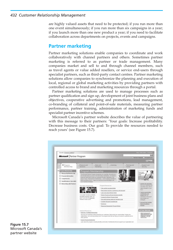are highly valued assets that need to be protected; if you run more than one event simultaneously; if you run more than six campaigns in a year; if you launch more than one new product a year; if you need to facilitate collaboration across departments on projects, events and campaigns.

#### **Partner marketing**

Partner marketing solutions enable companies to coordinate and work collaboratively with channel partners and others. Sometimes partner marketing is referred to as partner or trade management. Many companies market and sell to and through channel members, such as travel agents or value added resellers, or service end-users through specialist partners, such as third-party contact centres. Partner marketing solutions allow companies to synchronize the planning and execution of local, regional or global marketing activities by providing partners with controlled access to brand and marketing resources through a portal.

Partner marketing solutions are used to manage processes such as partner qualification and sign up, development of joint business plans and objectives, cooperative advertising and promotions, lead management, co-branding of collateral and point-of-sale materials, measuring partner performance, partner training, administration of marketing funds and specialist partner incentive schemes.

Microsoft Canada's partner website describes the value of partnering with this message to their partners: 'Your goals: Increase profitability. Decrease business costs. Our goal: To provide the resources needed to reach yours' (see Figure 15.7).



#### **Figure 15.7**  Microsoft Canada's partner website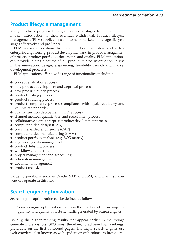## **Product lifecycle management**

Many products progress through a series of stages from their initial market introduction to their eventual withdrawal. Product lifecycle management (PLM) applications aim to help marketers manage lifecycle stages effectively and profitably.

 PLM software solutions facilitate collaborative intra- and extraenterprise engineering, product development and improved management of projects, product portfolios, documents and quality. PLM applications can provide a single source of all product-related information to use in the innovation, design, engineering, feasibility, launch and market development processes.

PLM applications offer a wide range of functionality, including:

- concept evaluation process
- new product development and approval process
- new product launch process
- product costing process
- product sourcing process
- product compliance process (compliance with legal, regulatory and voluntary standards)
- quality function deployment (QFD) process
- channel member qualification and recruitment process
- collaborative extra-enterprise product development process
- computer-aided design (CAD)
- computer-aided engineering (CAE)
- computer-aided manufacturing (CAM)
- product portfolio analysis (e.g. BCG matrix)
- engineering data management
- product delisting process
- $\bullet$  workflow engineering
- project management and scheduling
- action item management
- document management
- product record.

 Large corporations such as Oracle, SAP and IBM, and many smaller vendors operate in this field.

## **Search engine optimization**

Search engine optimization can be defined as follows:

Search engine optimization (SEO) is the practice of improving the quantity and quality of website traffic generated by search engines.

Usually, the higher ranking results that appear earlier in the listings generate more visitors. SEO aims, therefore, to achieve high rankings, preferably on the first or second pages. The major search engines use web crawlers, also known as web spiders or web robots, to browse the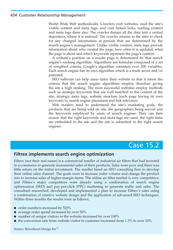World Wide Web methodically. Crawlers visit websites, read the site's visible content and meta tags, and visit linked links, reading content and meta tags there also. The crawler dumps all the data into a central depository, where it is indexed. The crawler returns to the sites to check for any changed information at periods that are determined by the search engine's management. Unlike visible content, meta tags provide information about who created the page, how often it is updated, what the page is about and which keywords represent the page's content.

A website's position on a results page is determined by that search engine's ranking algorithm. Algorithms are formulae composed of a set of weighted criteria; Google's algorithm considers over 200 variables. Each search engine has its own algorithm which is a trade secret and/or patented.

SEO software can help users tailor their website so that it meets the criteria that the search engine algorithms employ, therefore giving the site a high ranking. The most successful websites employ methods such as strategic keywords that are well matched to the content of the site, strategic meta tags, website structure (each page having its own keyword/s), search engine placement and link relevance.

 Web masters need to understand the site's marketing goals, the products that are being sold on site, the geographies being served and the keywords employed by users of search engines. They can then ensure that the right keywords and meta tags are used, the right links are embedded in the site and the site is submitted to the right search engines.

## Case 15.2

#### **Filtrex implements search engine optimization**

Filtrex (not their real name) is a commercial reseller of industrial air filters that had invested in e-commerce to generate incremental sales of their products. Sales were poor and there was little return on the initial investment. The reseller hired an SEO consulting firm to develop their online sales channel. The goals were to increase order volume and change the product mix to increase sales of higher-margin items. The online air filter market is very competitive, and Filtrex's major competitors were already using a combination of search engine optimization (SEO) and pay-per-click (PPC) marketing to generate traffic and sales. The consultant researched, developed and implemented a plan to increase Filtrex's sales using a combination of creative website design and the application of advanced SEO techniques. Within three months the results were as follows:

- order numbers increased by 525%
- average order spend increased by over 50%
- number of unique visitors to the website increased by over 100%
- $\bullet$  the conversion rate from website visitor to customer increased from 1.3% to over 10%.

Source: Braveheart Design Inc<sup>15</sup>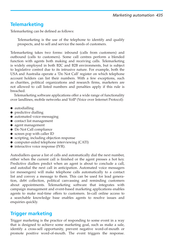## **Telemarketing**

Telemarketing can be defined as follows:

 Telemarketing is the use of the telephone to identify and qualify prospects, and to sell and service the needs of customers.

 Telemarketing takes two forms: inbound (calls from customers) and outbound (calls to customers). Some call centres perform a blended function with agents both making and receiving calls. Telemarketing is widely employed in both B2C and B2B environments, but is subject to legislative control due to its intrusive nature. For example, both the USA and Australia operate a 'Do Not Call' register on which telephone account holders can list their numbers. With a few exceptions, such as charities, political organizations and research firms, marketers are not allowed to call listed numbers and penalties apply if this rule is breached.

 Telemarketing software applications offer a wide range of functionality over landlines, mobile networks and VoIP (Voice over Internet Protocol):

- autodialling
- predictive dialling
- automated voice-messaging
- contact list management
- agent management
- Do Not Call compliance
- screen pop with caller ID
- scripting, including objection response
- computer-aided telephone interviewing (CATI)
- interactive voice response (IVR).

Autodiallers queue a list of calls and automatically dial the next number, either when the current call is finished or the agent presses a hot key. Predictive diallers predict when an agent is about to conclude a call, and autodial the next call in anticipation. Automated voice messagers (or messengers) will make telephone calls automatically to a contact list and convey a message to them. This can be used for lead generation, debt collection, political canvassing and reminding customers about appointments. Telemarketing software that integrates with campaign management and event-based marketing applications enables agents to make real-time offers to customers. In-call online access to a searchable knowledge base enables agents to resolve issues and enquiries quickly.

## **Trigger marketing**

Trigger marketing is the practice of responding to some event in a way that is designed to achieve some marketing goal, such as make a sale, identify a cross-sell opportunity, prevent negative word-of-mouth or promote positive word-of-mouth. The event triggers the response.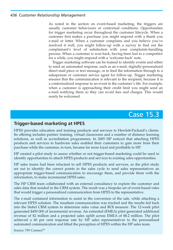As noted in the section on event-based marketing, the triggers are usually customer behaviours or contextual conditions. Opportunities for trigger marketing occur throughout the customer lifecycle. When a customer first makes a purchase you might respond with a thank you e-mail or letter. When a customer complains and you believe you've resolved it well, you might follow-up with a survey to find out the complainant's level of satisfaction with your complaints-handling process. When a customer is won back, having been lost to a competitor for a while, you might respond with a 'welcome back' note.

 Trigger marketing software can be trained to identify events and either to send an automated response, such as an e-mail, digitally-personalized direct mail piece or text message, or to feed the information through to a salesperson or customer service agent for follow-up. Trigger marketing ensures that the communication is relevant to the recipient, because it is a contextualized response to an event in the customer's life. For example, when a customer is approaching their credit limit you might send an e-mail notifying them so they can avoid fees and charges. This would surely be welcomed.

## Case 15.3

#### **Trigger-based marketing at HPES**

 HPES provides education and training products and services to Hewlett-Packard's clients. Its offering includes partner training, virtual classrooms and a number of distance learning solutions, as well as accreditation programmes. In 2005 HP noticed that attaching HPES products and services to hardware sales enabled their customers to gain more from their purchase while the customer, in turn, became far more loyal and profitable to HP.

 HP created a pilot study to assess whether or not trigger-based marketing could be used to identify opportunities to attach HPES products and services to existing sales opportunities.

HP sales teams had been reluctant to sell HPES products and services, so the pilot study set out to identify the correct points in the sales cycle to send sales representatives an appropriate trigger-based communication to encourage them, and provide them with the information, to make incremental HPES sales.

 The HP CRM team collaborated with an external consultancy to explore the customer and sales data that resided in the CRM system. The result was a bespoke set of event-based rules that would trigger a personalized communication from HPES to the representative.

The e-mail contained information to assist in the conversion of the sale, while attaching a relevant HPES solution. The resultant communication was tracked and the results fed back into the Siebel CRM system to determine sales value and ROI measure. The 12-week pilot generated \$450 000 of incremental revenue. An extended (EMEA) pilot generated additional revenue of \$2 million and a projected sales uplift across EMEA of \$8.2 million. The pilot achieved a 60 per cent response rate by HP sales representatives to the personalized automated communication and lifted the perception of HPES within the HP sales team.

Source: TW Connect<sup>16</sup>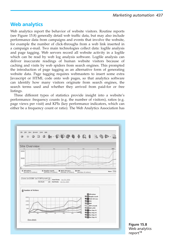### **Web analytics**

 Web analytics report the behavior of website visitors. Routine reports (see Figure 15.8) generally detail web traffic data, but may also include performance data from campaigns and events that involve the website, for example the number of click-throughs from a web link inserted in a campaign e-mail. Two main technologies collect data: logfile analysis and page tagging. Web servers record all website activity in a logfile which can be read by web log analysis software. Logfile analysis can deliver inaccurate readings of human website visitors because of caching and visits by web spiders from search engines. This prompted the introduction of page tagging as an alternative form of generating website data. Page tagging requires webmasters to insert some extra Javascript or HTML code onto web pages, so that analytics software can identify how many visitors originate from search engines, the search terms used and whether they arrived from paid-for or free listings.

Three different types of statistics provide insight into a website's performance: frequency counts (e.g. the number of visitors), ratios (e.g. page views per visit) and KPIs (key performance indicators, which can either be a frequency count or ratio). The Web Analytics Association has



 **Figure 15.8**  Web analytics report<sup>18</sup>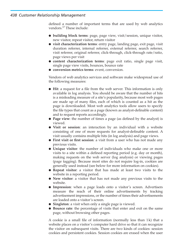defined a number of important terms that are used by web analytics vendors.17 These include:

- **building block terms**: page, page view, visit/session, unique visitor, new visitor, repeat visitor, return visitor
- visit characterization terms: entry page, landing page, exit page, visit duration referrer, internal referrer, external referrer, search referrer, visit referrer, original referrer, click-through, click-through rate/ratio, page views per visit
- **• content characterization terms**: page exit ratio, single page visit, single page view visits, bounces, bounce rate
- **conversion metrics terms**: event, conversion.

Vendors of web analytics services and software make widespread use of the following measures:

- **Hit**: a request for a file from the web server. This information is only available in log analysis. You should be aware that the number of hits is a misleading measure of a site's popularity, because most web pages are made up of many files, each of which is counted as a hit as the page is downloaded. Most web analytics tools allow users to specify the file types that count as a page (known as analyst-definable content) and to request reports accordingly.
- **Page view**: the number of times a page (as defined by the analyst) is viewed.
- **Visit or session**: an interaction by an individual with a website consisting of one of more requests for analyst-definable content. A visit usually contains multiple hits (in log analysis) and page views.
- **First visit or first session**: a visit from a user who has not made any previous visits.
- **Unique visitor** : the number of individuals who make one or more visits to a site within a defined reporting period (e.g. day or month), making requests on the web server (log analysis) or viewing pages (page tagging). Because most sites do not require log-in, cookies are generally used instead (see below for more information on cookies).
- **Repeat visitor** : a visitor that has made at least two visits to the website in a reporting period.
- **New visitor** : a visitor that has not made any previous visits to the website.
- **Impression**: when a page loads onto a visitor's screen. Advertisers measure the reach of their online advertisements by tracking advertisement impressions, or the number of times their advertisements are loaded onto a visitor's screen.
- **Singleton**: a visit when only a single page is viewed.
- **Bounce rate**: the percentage of visits that enter and exit on the same page, without browsing other pages.

A cookie is a small file of information (normally less than  $1k$ ) that a website places on a visitor's computer hard drive so that it can recognize the visitor on subsequent visits. There are two kinds of cookies: session cookies and persistent cookies. Session cookies are erased when the user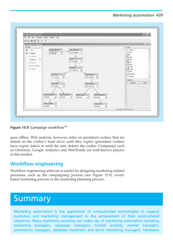#### *Marketing automation 439*



**Figure 15.9 Campaign workflow<sup>19</sup>** 

goes offline. Web analysis, however, relies on persistent cookies that are stored on the visitor's hard drive until they expire (persistent cookies have expiry dates) or until the user deletes the cookie. Companies such as Omniture, Google Analytics and WebTrends are well-known players in this market.

## **Workflow engineering**

Workflow engineering software is useful for designing marketing-related processes, such as the campaigning process (see Figure 15.9), eventbased marketing process or the marketing planning process.

## Summary

Marketing automation is the application of computerized technologies to support marketers and marketing management in the achievement of their work-related objectives. Many marketing positions can make use of marketing automation including marketing managers, campaign managers, market analysts, market managers, promotions managers, database marketers and direct marketing managers. Hardware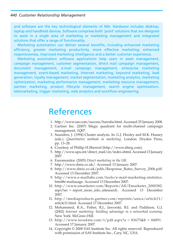and software are the key technological elements of MA. Hardware includes desktop, laptop and handheld devices. Software comprises both 'point' solutions that are designed to assist in a single area of marketing or marketing management and integrated solutions that offer a range of functionality.

Marketing automation can deliver several benefits, including enhanced marketing efficiency, greater marketing productivity, more effective marketing, enhanced responsiveness, improved marketing intelligence and a better customer experience.

Marketing automation software applications help users in asset management, campaign management, customer segmentation, direct mail campaign management, document management, e-mail campaign management, enterprise marketing management, event-based marketing, Internet marketing, keyword marketing, lead generation, loyalty management, market segmentation, marketing analytics, marketing optimization, marketing performance management, marketing resource management, partner marketing, product lifecycle management, search engine optimization, telemarketing, trigger marketing, web analytics and workflow engineering.

## References

- 1. http://www.sas.com/success/harrahs.html . Accessed 25 January 2008.
- 2. Gartner Inc. (2007) Magic quadrant for multi-channel campaign management, 1Q07.
- 3. Saunders , J. ( 1994 ) Cluster analysis . In: G.J. Hooley and M.K. Hussey (eds.). Quantitative methods in marketing. London: Dryden Press, pp. 13–28.
- 4. Courtesy of Phillip H.Sherrod (http://www.dtreg.com).
- 5. http://www.upu.int/direct\_mail/en/index.shtml . Accessed 13 January 2007.
- 6. Euromonitor. (2005) *Direct marketing in the UK* .
- 7. http://www.dmis.co.uk/ . Accessed 13 January 2007.
- 8. http://www.dmis.co.uk/pdfs/Response\_Rates\_Survey\_2006.pdf . Accessed 13 December 2007.
- 9. http://www.e-maillabs.com/tools/e-mail-marketing-statistics. html#e-mailusage . Accessed 13 December 2007.
- 10. http://www.emarketer.com/Reports/All/Emarketer\_2000382. aspx?src = report\_more\_info\_sitesearch. Accessed 13 December 2007.
- 11. http://mediaproducts.gartner.com/reprints/unica/article11/ article11.html. Accessed 17 December 2007.
- 12. Mohammed, R.A., Fisher, R.J., Jaworski, B.J. and Paddison, G.J. ( 2002 ) *Internet marketing: building advantage in a networked economy* . New York: McGraw-Hill.
- 13. http://www.teradata.com/t/pdf.aspx?a =  $83673$ &b =  $84891$ . Accessed 17 January 2007.
- 14. Copyright © 2008 SAS Institute Inc. All rights reserved. Reproduced with permission of SAS Institute Inc., Cary, NC, USA.